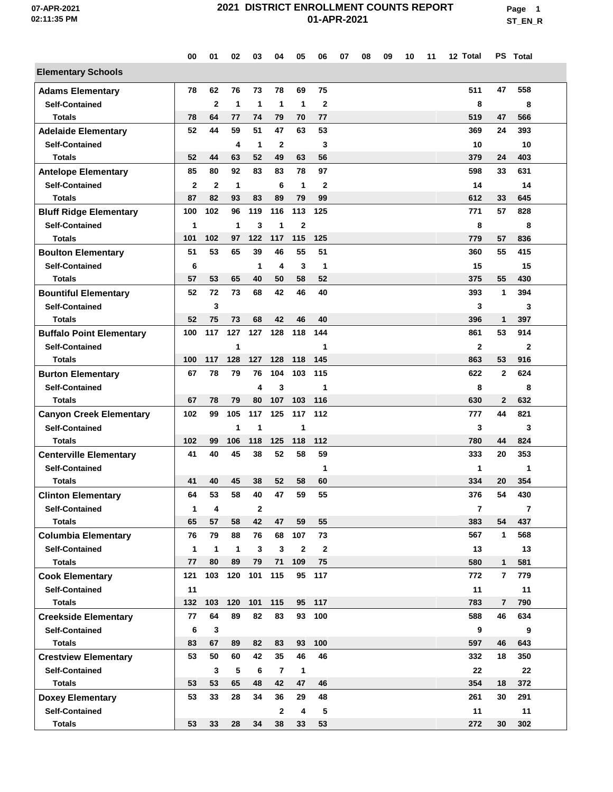**Page 1 ST\_EN\_R**

|                                                        | 00           | 01                 | 02                 | 03                 | 04                 | 05                  | 06                | 07 | 08 | 09 | 10 | 11 | 12 Total       |                    | PS Total       |
|--------------------------------------------------------|--------------|--------------------|--------------------|--------------------|--------------------|---------------------|-------------------|----|----|----|----|----|----------------|--------------------|----------------|
| <b>Elementary Schools</b>                              |              |                    |                    |                    |                    |                     |                   |    |    |    |    |    |                |                    |                |
| <b>Adams Elementary</b>                                | 78           | 62                 | 76                 | 73                 | 78                 | 69                  | 75                |    |    |    |    |    | 511            | 47                 | 558            |
| <b>Self-Contained</b>                                  |              | $\mathbf{2}$       | $\mathbf{1}$       | $\mathbf{1}$       | $\mathbf{1}$       | $\mathbf{1}$        | $\mathbf{2}$      |    |    |    |    |    | 8              |                    | 8              |
| <b>Totals</b>                                          | 78           | 64                 | 77                 | 74                 | 79                 | 70                  | 77                |    |    |    |    |    | 519            | 47                 | 566            |
| <b>Adelaide Elementary</b>                             | 52           | 44                 | 59                 | 51                 | 47                 | 63                  | 53                |    |    |    |    |    | 369            | 24                 | 393            |
| <b>Self-Contained</b>                                  |              |                    | 4                  | $\mathbf{1}$       | $\mathbf{2}$       |                     | 3                 |    |    |    |    |    | 10             |                    | 10             |
| <b>Totals</b>                                          | 52           | 44                 | 63                 | 52                 | 49                 | 63                  | 56                |    |    |    |    |    | 379            | 24                 | 403            |
| <b>Antelope Elementary</b>                             | 85           | 80                 | 92                 | 83                 | 83                 | 78                  | 97                |    |    |    |    |    | 598            | 33                 | 631            |
| <b>Self-Contained</b>                                  | $\mathbf{2}$ | $\mathbf{2}$       | 1                  |                    | 6                  | 1                   | $\mathbf{2}$      |    |    |    |    |    | 14             |                    | 14             |
| <b>Totals</b>                                          | 87           | 82                 | 93                 | 83                 | 89                 | 79                  | 99                |    |    |    |    |    | 612            | 33                 | 645            |
| <b>Bluff Ridge Elementary</b>                          | 100          | 102                | 96                 | 119                | 116                | 113                 | 125               |    |    |    |    |    | 771            | 57                 | 828            |
| <b>Self-Contained</b>                                  | 1            |                    | 1                  | 3                  | 1                  | $\mathbf{2}$        |                   |    |    |    |    |    | 8              |                    | 8              |
| Totals                                                 | 101          | 102                | 97                 | 122                | 117                | 115                 | 125               |    |    |    |    |    | 779            | 57                 | 836            |
| <b>Boulton Elementary</b>                              | 51           | 53                 | 65                 | 39                 | 46                 | 55                  | 51                |    |    |    |    |    | 360            | 55                 | 415            |
| <b>Self-Contained</b>                                  | 6            |                    |                    | 1                  | 4                  | 3                   | 1                 |    |    |    |    |    | 15             |                    | 15             |
| <b>Totals</b>                                          | 57           | 53                 | 65                 | 40                 | 50                 | 58                  | 52                |    |    |    |    |    | 375            | 55                 | 430            |
| <b>Bountiful Elementary</b>                            | 52           | 72                 | 73                 | 68                 | 42                 | 46                  | 40                |    |    |    |    |    | 393            | 1                  | 394            |
| <b>Self-Contained</b>                                  |              | 3                  |                    |                    |                    |                     |                   |    |    |    |    |    | 3              |                    | 3              |
| <b>Totals</b>                                          | 52           | 75                 | 73                 | 68                 | 42                 | 46                  | 40                |    |    |    |    |    | 396            | 1                  | 397            |
| <b>Buffalo Point Elementary</b>                        | 100          | 117                | 127                | 127                | 128                | 118                 | 144               |    |    |    |    |    | 861            | 53                 | 914            |
| <b>Self-Contained</b>                                  |              |                    | 1                  |                    |                    |                     | 1                 |    |    |    |    |    | $\mathbf{2}$   |                    | $\mathbf 2$    |
| <b>Totals</b>                                          | 100          | 117                | 128                | 127                | 128                | 118                 | 145               |    |    |    |    |    | 863            | 53                 | 916            |
|                                                        | 67           | 78                 | 79                 | 76                 | 104                | 103                 | 115               |    |    |    |    |    | 622            | $\mathbf{2}$       | 624            |
| <b>Burton Elementary</b><br><b>Self-Contained</b>      |              |                    |                    | 4                  | 3                  |                     | 1                 |    |    |    |    |    |                |                    |                |
| <b>Totals</b>                                          | 67           | 78                 | 79                 | 80                 | 107                | 103                 | 116               |    |    |    |    |    | 8<br>630       | $\overline{2}$     | 8<br>632       |
|                                                        | 102          | 99                 | 105                | 117                | 125                | 117                 | 112               |    |    |    |    |    | 777            | 44                 | 821            |
| <b>Canyon Creek Elementary</b>                         |              |                    |                    |                    |                    |                     |                   |    |    |    |    |    |                |                    |                |
| <b>Self-Contained</b><br><b>Totals</b>                 | 102          | 99                 | 1<br>106           | 1<br>118           | 125                | 1<br>118            | 112               |    |    |    |    |    | 3<br>780       | 44                 | 3<br>824       |
|                                                        | 41           | 40                 | 45                 | 38                 | 52                 | 58                  | 59                |    |    |    |    |    | 333            | 20                 | 353            |
| <b>Centerville Elementary</b><br><b>Self-Contained</b> |              |                    |                    |                    |                    |                     |                   |    |    |    |    |    |                |                    |                |
| <b>Totals</b>                                          | 41           | 40                 | 45                 | 38                 | 52                 | 58                  | 1<br>60           |    |    |    |    |    | 1<br>334       | 20                 | 1<br>354       |
|                                                        | 64           | 53                 | 58                 | 40                 | 47                 | 59                  | 55                |    |    |    |    |    | 376            | 54                 | 430            |
| <b>Clinton Elementary</b>                              |              |                    |                    |                    |                    |                     |                   |    |    |    |    |    |                |                    |                |
| <b>Self-Contained</b>                                  | 1            | 4<br>57            |                    | $\mathbf{2}$       | 47                 | 59                  |                   |    |    |    |    |    | $\overline{7}$ |                    | $\overline{7}$ |
| <b>Totals</b>                                          | 65           | 79                 | 58                 | 42<br>76           |                    | 107                 | 55<br>73          |    |    |    |    |    | 383            | 54<br>$\mathbf{1}$ | 437<br>568     |
| <b>Columbia Elementary</b>                             | 76           |                    | 88                 |                    | 68                 |                     |                   |    |    |    |    |    | 567            |                    |                |
| <b>Self-Contained</b>                                  | 1            | $\mathbf{1}$<br>80 | $\mathbf{1}$<br>89 | $\mathbf{3}$<br>79 | $\mathbf{3}$<br>71 | $\mathbf{2}$<br>109 | $\mathbf 2$<br>75 |    |    |    |    |    | 13             | $\mathbf{1}$       | 13             |
| <b>Totals</b>                                          | 77           |                    |                    |                    |                    |                     |                   |    |    |    |    |    | 580            | $\overline{7}$     | 581<br>779     |
| <b>Cook Elementary</b>                                 | 121          | 103                | 120                | 101                | 115                | 95                  | 117               |    |    |    |    |    | 772            |                    |                |
| <b>Self-Contained</b>                                  | 11           |                    |                    |                    |                    |                     |                   |    |    |    |    |    | 11             |                    | 11             |
| <b>Totals</b>                                          | 132          | 103                | 120                | 101                | 115                | 95                  | 117               |    |    |    |    |    | 783            | $\overline{7}$     | 790            |
| <b>Creekside Elementary</b>                            | 77           | 64                 | 89                 | 82                 | 83                 |                     | 93 100            |    |    |    |    |    | 588            | 46                 | 634            |
| <b>Self-Contained</b>                                  | 6            | 3                  |                    |                    |                    |                     |                   |    |    |    |    |    | 9              |                    | 9              |
| <b>Totals</b>                                          | 83           | 67                 | 89                 | 82                 | 83                 | 93                  | 100               |    |    |    |    |    | 597            | 46                 | 643            |
| <b>Crestview Elementary</b>                            | 53           | 50                 | 60                 | 42                 | 35                 | 46                  | 46                |    |    |    |    |    | 332            | 18                 | 350            |
| <b>Self-Contained</b>                                  |              | $\mathbf{3}$       | 5                  | 6                  | $\overline{7}$     | $\mathbf{1}$        |                   |    |    |    |    |    | 22             |                    | 22             |
| <b>Totals</b>                                          | 53           | 53                 | 65                 | 48                 | 42                 | 47                  | 46                |    |    |    |    |    | 354            | 18                 | 372            |
| <b>Doxey Elementary</b>                                | 53           | 33                 | 28                 | 34                 | 36                 | 29                  | 48                |    |    |    |    |    | 261            | 30                 | 291            |
| <b>Self-Contained</b>                                  |              |                    |                    |                    | $\overline{2}$     | 4                   | 5                 |    |    |    |    |    | 11             |                    | 11             |
| <b>Totals</b>                                          | 53           | 33                 | 28                 | 34                 | 38                 | 33                  | 53                |    |    |    |    |    | 272            | 30                 | 302            |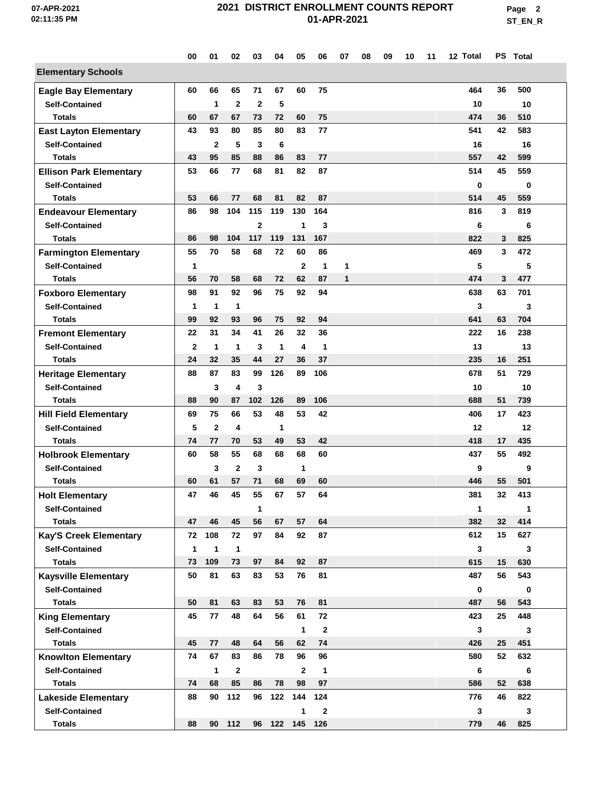**Page 2 ST\_EN\_R**

|                                | 00           | 01           | 02                      | 03             | 04         | 05           | 06           | 07           | 08 | 09 | 10 | 11 | 12 Total    |    | PS Total |  |
|--------------------------------|--------------|--------------|-------------------------|----------------|------------|--------------|--------------|--------------|----|----|----|----|-------------|----|----------|--|
| <b>Elementary Schools</b>      |              |              |                         |                |            |              |              |              |    |    |    |    |             |    |          |  |
| <b>Eagle Bay Elementary</b>    | 60           | 66           | 65                      | 71             | 67         | 60           | 75           |              |    |    |    |    | 464         | 36 | 500      |  |
| <b>Self-Contained</b>          |              | $\mathbf{1}$ | $\overline{2}$          | $\mathbf{2}$   | 5          |              |              |              |    |    |    |    | 10          |    | 10       |  |
| <b>Totals</b>                  | 60           | 67           | 67                      | 73             | 72         | 60           | 75           |              |    |    |    |    | 474         | 36 | 510      |  |
| <b>East Layton Elementary</b>  | 43           | 93           | 80                      | 85             | 80         | 83           | 77           |              |    |    |    |    | 541         | 42 | 583      |  |
| <b>Self-Contained</b>          |              | $\mathbf{2}$ | 5                       | 3              | 6          |              |              |              |    |    |    |    | 16          |    | 16       |  |
| <b>Totals</b>                  | 43           | 95           | 85                      | 88             | 86         | 83           | 77           |              |    |    |    |    | 557         | 42 | 599      |  |
| <b>Ellison Park Elementary</b> | 53           | 66           | 77                      | 68             | 81         | 82           | 87           |              |    |    |    |    | 514         | 45 | 559      |  |
| <b>Self-Contained</b>          |              |              |                         |                |            |              |              |              |    |    |    |    | 0           |    | 0        |  |
| <b>Totals</b>                  | 53           | 66           | 77                      | 68             | 81         | 82           | 87           |              |    |    |    |    | 514         | 45 | 559      |  |
| <b>Endeavour Elementary</b>    | 86           | 98           | 104                     | 115            | 119        | 130          | 164          |              |    |    |    |    | 816         | 3  | 819      |  |
| <b>Self-Contained</b>          |              |              |                         | $\overline{2}$ |            | 1            | 3            |              |    |    |    |    | 6           |    | 6        |  |
| <b>Totals</b>                  | 86           | 98           | 104                     | 117            | 119        | 131          | 167          |              |    |    |    |    | 822         | 3  | 825      |  |
| <b>Farmington Elementary</b>   | 55           | 70           | 58                      | 68             | 72         | 60           | 86           |              |    |    |    |    | 469         | 3  | 472      |  |
| <b>Self-Contained</b>          | 1            |              |                         |                |            | $\mathbf{2}$ | 1            | 1            |    |    |    |    | 5           |    | 5        |  |
| <b>Totals</b>                  | 56           | 70           | 58                      | 68             | 72         | 62           | 87           | $\mathbf{1}$ |    |    |    |    | 474         | 3  | 477      |  |
| <b>Foxboro Elementary</b>      | 98           | 91           | 92                      | 96             | 75         | 92           | 94           |              |    |    |    |    | 638         | 63 | 701      |  |
| <b>Self-Contained</b>          | 1            | $\mathbf{1}$ | $\mathbf{1}$            |                |            |              |              |              |    |    |    |    | 3           |    | 3        |  |
| <b>Totals</b>                  | 99           | 92           | 93                      | 96             | 75         | 92           | 94           |              |    |    |    |    | 641         | 63 | 704      |  |
| <b>Fremont Elementary</b>      | 22           | 31           | 34                      | 41             | 26         | 32           | 36           |              |    |    |    |    | 222         | 16 | 238      |  |
| <b>Self-Contained</b>          | $\mathbf{2}$ | $\mathbf{1}$ | $\mathbf 1$             | 3              | 1          | 4            | 1            |              |    |    |    |    | 13          |    | 13       |  |
| <b>Totals</b>                  | 24           | 32           | 35                      | 44             | 27         | 36           | 37           |              |    |    |    |    | 235         | 16 | 251      |  |
| <b>Heritage Elementary</b>     | 88           | 87           | 83                      | 99             | 126        | 89           | 106          |              |    |    |    |    | 678         | 51 | 729      |  |
| <b>Self-Contained</b>          |              | 3            | 4                       | 3              |            |              |              |              |    |    |    |    | 10          |    | 10       |  |
| <b>Totals</b>                  | 88           | 90           | 87                      | 102            | 126        | 89           | 106          |              |    |    |    |    | 688         | 51 | 739      |  |
| <b>Hill Field Elementary</b>   | 69           | 75           | 66                      | 53             | 48         | 53           | 42           |              |    |    |    |    | 406         | 17 | 423      |  |
| <b>Self-Contained</b>          | 5            | $\mathbf{2}$ | $\overline{\mathbf{4}}$ |                | 1          |              |              |              |    |    |    |    | 12          |    | 12       |  |
| <b>Totals</b>                  | 74           | 77           | 70                      | 53             | 49         | 53           | 42           |              |    |    |    |    | 418         | 17 | 435      |  |
| <b>Holbrook Elementary</b>     | 60           | 58           | 55                      | 68             | 68         | 68           | 60           |              |    |    |    |    | 437         | 55 | 492      |  |
| <b>Self-Contained</b>          |              | 3            | $\overline{2}$          | 3              |            | 1            |              |              |    |    |    |    | 9           |    | 9        |  |
| <b>Totals</b>                  | 60           | 61           | 57                      | 71             | 68         | 69           | 60           |              |    |    |    |    | 446         | 55 | 501      |  |
| <b>Holt Elementary</b>         | 47           | 46           | 45                      | 55             | 67         | 57           | 64           |              |    |    |    |    | 381         | 32 | 413      |  |
| <b>Self-Contained</b>          |              |              |                         | 1              |            |              |              |              |    |    |    |    | 1           |    | 1        |  |
| <b>Totals</b>                  | 47           | 46           | 45                      | 56             | 67         | 57           | 64           |              |    |    |    |    | 382         | 32 | 414      |  |
| <b>Kay'S Creek Elementary</b>  | 72           | 108          | 72                      | 97             | 84         | 92           | 87           |              |    |    |    |    | 612         | 15 | 627      |  |
| <b>Self-Contained</b>          | 1            | $\mathbf{1}$ | $\mathbf{1}$            |                |            |              |              |              |    |    |    |    | 3           |    | 3        |  |
| <b>Totals</b>                  | 73           | 109          | 73                      | 97             | 84         | 92           | 87           |              |    |    |    |    | 615         | 15 | 630      |  |
| <b>Kaysville Elementary</b>    | 50           | 81           | 63                      | 83             | 53         | 76           | 81           |              |    |    |    |    | 487         | 56 | 543      |  |
| <b>Self-Contained</b>          |              |              |                         |                |            |              |              |              |    |    |    |    | $\mathbf 0$ |    | 0        |  |
| <b>Totals</b>                  | 50           | 81           | 63                      | 83             | 53         | 76           | 81           |              |    |    |    |    | 487         | 56 | 543      |  |
| <b>King Elementary</b>         | 45           | 77           | 48                      | 64             | 56         | 61           | 72           |              |    |    |    |    | 423         | 25 | 448      |  |
| <b>Self-Contained</b>          |              |              |                         |                |            | $\mathbf{1}$ | $\mathbf{2}$ |              |    |    |    |    | 3           |    | 3        |  |
| <b>Totals</b>                  | 45           | 77           | 48                      | 64             | 56         | 62           | 74           |              |    |    |    |    | 426         | 25 | 451      |  |
| <b>Knowlton Elementary</b>     | 74           | 67           | 83                      | 86             | 78         | 96           | 96           |              |    |    |    |    | 580         | 52 | 632      |  |
| <b>Self-Contained</b>          |              | $\mathbf{1}$ | $\mathbf{2}$            |                |            | $\mathbf{2}$ | $\mathbf{1}$ |              |    |    |    |    | 6           |    | 6        |  |
| <b>Totals</b>                  | 74           | 68           | 85                      | 86             | 78         | 98           | 97           |              |    |    |    |    | 586         | 52 | 638      |  |
| <b>Lakeside Elementary</b>     | 88           | 90           | 112                     | 96             | 122        | 144          | 124          |              |    |    |    |    | 776         | 46 | 822      |  |
| <b>Self-Contained</b>          |              |              |                         |                |            | 1            | 2            |              |    |    |    |    | 3           |    | 3        |  |
| <b>Totals</b>                  | 88           |              | 90 112                  |                | 96 122 145 |              | 126          |              |    |    |    |    | 779         | 46 | 825      |  |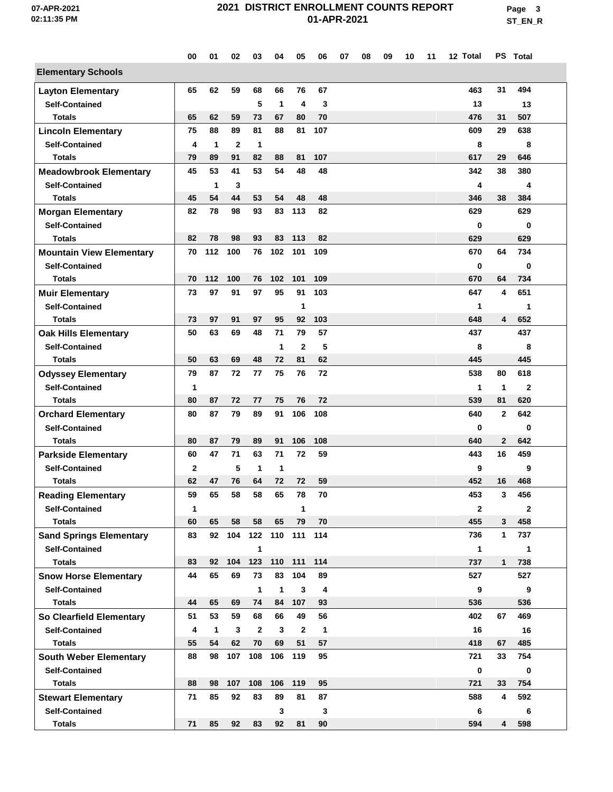**Page 3 ST\_EN\_R**

|                                 | 00           | 01           | 02                     | 03           | 04           | 05           | 06           | 07 | 08 | 09 | 10 | 11 | 12 Total     |              | PS Total       |  |
|---------------------------------|--------------|--------------|------------------------|--------------|--------------|--------------|--------------|----|----|----|----|----|--------------|--------------|----------------|--|
| <b>Elementary Schools</b>       |              |              |                        |              |              |              |              |    |    |    |    |    |              |              |                |  |
| <b>Layton Elementary</b>        | 65           | 62           | 59                     | 68           | 66           | 76           | 67           |    |    |    |    |    | 463          | 31           | 494            |  |
| <b>Self-Contained</b>           |              |              |                        | 5            | 1            | 4            | 3            |    |    |    |    |    | 13           |              | 13             |  |
| <b>Totals</b>                   | 65           | 62           | 59                     | 73           | 67           | 80           | 70           |    |    |    |    |    | 476          | 31           | 507            |  |
| <b>Lincoln Elementary</b>       | 75           | 88           | 89                     | 81           | 88           | 81           | 107          |    |    |    |    |    | 609          | 29           | 638            |  |
| <b>Self-Contained</b>           | 4            | $\mathbf{1}$ | $\mathbf{2}$           | 1            |              |              |              |    |    |    |    |    | 8            |              | 8              |  |
| Totals                          | 79           | 89           | 91                     | 82           | 88           | 81           | 107          |    |    |    |    |    | 617          | 29           | 646            |  |
| <b>Meadowbrook Elementary</b>   | 45           | 53           | 41                     | 53           | 54           | 48           | 48           |    |    |    |    |    | 342          | 38           | 380            |  |
| <b>Self-Contained</b>           |              | 1            | 3                      |              |              |              |              |    |    |    |    |    | 4            |              | 4              |  |
| <b>Totals</b>                   | 45           | 54           | 44                     | 53           | 54           | 48           | 48           |    |    |    |    |    | 346          | 38           | 384            |  |
| <b>Morgan Elementary</b>        | 82           | 78           | 98                     | 93           | 83           | 113          | 82           |    |    |    |    |    | 629          |              | 629            |  |
| <b>Self-Contained</b>           |              |              |                        |              |              |              |              |    |    |    |    |    | $\bf{0}$     |              | $\bf{0}$       |  |
| <b>Totals</b>                   | 82           | 78           | 98                     | 93           | 83           | 113          | 82           |    |    |    |    |    | 629          |              | 629            |  |
| <b>Mountain View Elementary</b> | 70           | 112          | 100                    | 76           | 102          | 101          | 109          |    |    |    |    |    | 670          | 64           | 734            |  |
| <b>Self-Contained</b>           |              |              |                        |              |              |              |              |    |    |    |    |    | 0            |              | 0              |  |
| <b>Totals</b>                   | 70           | 112          | 100                    | 76           | 102          | 101          | 109          |    |    |    |    |    | 670          | 64           | 734            |  |
| <b>Muir Elementary</b>          | 73           | 97           | 91                     | 97           | 95           | 91           | 103          |    |    |    |    |    | 647          | 4            | 651            |  |
| <b>Self-Contained</b>           |              |              |                        |              |              | 1            |              |    |    |    |    |    | 1            |              | $\mathbf{1}$   |  |
| <b>Totals</b>                   | 73           | 97           | 91                     | 97           | 95           | 92           | 103          |    |    |    |    |    | 648          | 4            | 652            |  |
| <b>Oak Hills Elementary</b>     | 50           | 63           | 69                     | 48           | 71           | 79           | 57           |    |    |    |    |    | 437          |              | 437            |  |
| <b>Self-Contained</b>           |              |              |                        |              | 1            | $\mathbf{2}$ | 5            |    |    |    |    |    | 8            |              | 8              |  |
| <b>Totals</b>                   | 50           | 63           | 69                     | 48           | 72           | 81           | 62           |    |    |    |    |    | 445          |              | 445            |  |
| <b>Odyssey Elementary</b>       | 79           | 87           | 72                     | 77           | 75           | 76           | 72           |    |    |    |    |    | 538          | 80           | 618            |  |
| <b>Self-Contained</b>           | 1            |              |                        |              |              |              |              |    |    |    |    |    | 1            | 1            | $\overline{2}$ |  |
| <b>Totals</b>                   | 80           | 87           | 72                     | 77           | 75           | 76           | 72           |    |    |    |    |    | 539          | 81           | 620            |  |
| <b>Orchard Elementary</b>       | 80           | 87           | 79                     | 89           | 91           | 106          | 108          |    |    |    |    |    | 640          | $\mathbf{2}$ | 642            |  |
| <b>Self-Contained</b>           |              |              |                        |              |              |              |              |    |    |    |    |    | 0            |              | 0              |  |
| <b>Totals</b>                   | 80           | 87           | 79                     | 89           | 91           | 106          | 108          |    |    |    |    |    | 640          | $\mathbf{2}$ | 642            |  |
| <b>Parkside Elementary</b>      | 60           | 47           | 71                     | 63           | 71           | 72           | 59           |    |    |    |    |    | 443          | 16           | 459            |  |
| <b>Self-Contained</b>           | $\mathbf{2}$ |              | 5                      | 1            | 1            |              |              |    |    |    |    |    | 9            |              | 9              |  |
| Totals                          | 62           | 47           | 76                     | 64           | 72           | 72           | 59           |    |    |    |    |    | 452          | 16           | 468            |  |
| <b>Reading Elementary</b>       | 59           | 65           | 58                     | 58           | 65           | 78           | 70           |    |    |    |    |    | 453          | 3            | 456            |  |
| <b>Self-Contained</b>           | 1            |              |                        |              |              | 1            |              |    |    |    |    |    | $\mathbf{2}$ |              | $\mathbf{2}$   |  |
| <b>Totals</b>                   | 60           | 65           | 58                     | 58           | 65           | 79           | 70           |    |    |    |    |    | 455          | $\mathbf{3}$ | 458            |  |
| <b>Sand Springs Elementary</b>  | 83           |              | 92 104 122 110 111 114 |              |              |              |              |    |    |    |    |    | 736          | 1            | 737            |  |
| <b>Self-Contained</b>           |              |              |                        | 1            |              |              |              |    |    |    |    |    | $\mathbf{1}$ |              | 1              |  |
| <b>Totals</b>                   | 83           | 92           | 104                    | 123          | 110          | 111          | 114          |    |    |    |    |    | 737          | $\mathbf{1}$ | 738            |  |
| <b>Snow Horse Elementary</b>    | 44           | 65           | 69                     | 73           | 83           | 104          | 89           |    |    |    |    |    | 527          |              | 527            |  |
| <b>Self-Contained</b>           |              |              |                        | 1            | $\mathbf{1}$ | 3            | 4            |    |    |    |    |    | 9            |              | 9              |  |
| <b>Totals</b>                   | 44           | 65           | 69                     | 74           | 84           | 107          | 93           |    |    |    |    |    | 536          |              | 536            |  |
| So Clearfield Elementary        | 51           | 53           | 59                     | 68           | 66           | 49           | 56           |    |    |    |    |    | 402          | 67           | 469            |  |
| <b>Self-Contained</b>           | 4            | $\mathbf{1}$ | 3                      | $\mathbf{2}$ | 3            | $\mathbf{2}$ | $\mathbf{1}$ |    |    |    |    |    | 16           |              | 16             |  |
| <b>Totals</b>                   | 55           | 54           | 62                     | 70           | 69           | 51           | 57           |    |    |    |    |    | 418          | 67           | 485            |  |
| <b>South Weber Elementary</b>   | 88           | 98           | 107                    | 108          | 106          | 119          | 95           |    |    |    |    |    | 721          | 33           | 754            |  |
| <b>Self-Contained</b>           |              |              |                        |              |              |              |              |    |    |    |    |    | 0            |              | 0              |  |
| <b>Totals</b>                   | 88           | 98           | 107                    | 108          | 106          | 119          | 95           |    |    |    |    |    | 721          | 33           | 754            |  |
| <b>Stewart Elementary</b>       | 71           | 85           | 92                     | 83           | 89           | 81           | 87           |    |    |    |    |    | 588          | 4            | 592            |  |
| <b>Self-Contained</b>           |              |              |                        |              | 3            |              | 3            |    |    |    |    |    | 6            |              | 6              |  |
| <b>Totals</b>                   | 71           | 85           | 92                     | 83           | 92           | 81           | 90           |    |    |    |    |    | 594          | 4            | 598            |  |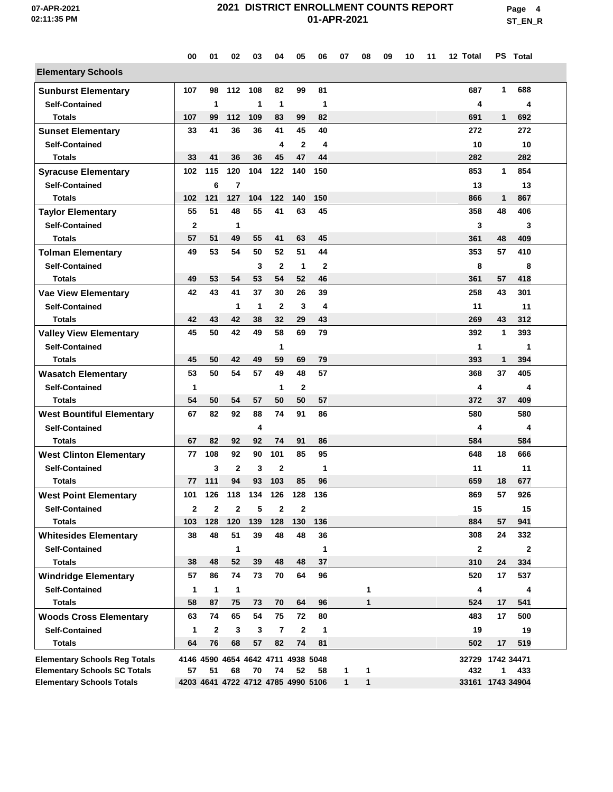**Page 4 ST\_EN\_R**

|                                                        | 00           | 01           | 02             | 03                | 04                                 | 05           | 06           | 07           | 08           | 09 | 10 | 11 | 12 Total         |              | <b>PS</b> Total |  |
|--------------------------------------------------------|--------------|--------------|----------------|-------------------|------------------------------------|--------------|--------------|--------------|--------------|----|----|----|------------------|--------------|-----------------|--|
| <b>Elementary Schools</b>                              |              |              |                |                   |                                    |              |              |              |              |    |    |    |                  |              |                 |  |
| <b>Sunburst Elementary</b>                             | 107          | 98           | 112            | 108               | 82                                 | 99           | 81           |              |              |    |    |    | 687              | 1            | 688             |  |
| <b>Self-Contained</b>                                  |              | 1            |                | 1                 | $\mathbf{1}$                       |              | 1            |              |              |    |    |    | 4                |              | 4               |  |
| Totals                                                 | 107          | 99           | 112            | 109               | 83                                 | 99           | 82           |              |              |    |    |    | 691              | $\mathbf{1}$ | 692             |  |
| <b>Sunset Elementary</b>                               | 33           | 41           | 36             | 36                | 41                                 | 45           | 40           |              |              |    |    |    | 272              |              | 272             |  |
| <b>Self-Contained</b>                                  |              |              |                |                   | 4                                  | $\mathbf{2}$ | 4            |              |              |    |    |    | 10               |              | 10              |  |
| <b>Totals</b>                                          | 33           | 41           | 36             | 36                | 45                                 | 47           | 44           |              |              |    |    |    | 282              |              | 282             |  |
| <b>Syracuse Elementary</b>                             | 102          | 115          | 120            | 104               | 122                                | 140          | 150          |              |              |    |    |    | 853              | 1            | 854             |  |
| <b>Self-Contained</b>                                  |              | 6            | $\overline{7}$ |                   |                                    |              |              |              |              |    |    |    | 13               |              | 13              |  |
| Totals                                                 | 102          | 121          | 127            | 104               | 122                                | 140          | 150          |              |              |    |    |    | 866              | $\mathbf{1}$ | 867             |  |
| <b>Taylor Elementary</b>                               | 55           | 51           | 48             | 55                | 41                                 | 63           | 45           |              |              |    |    |    | 358              | 48           | 406             |  |
| <b>Self-Contained</b>                                  | $\mathbf{2}$ |              | 1              |                   |                                    |              |              |              |              |    |    |    | 3                |              | 3               |  |
| <b>Totals</b>                                          | 57           | 51           | 49             | 55                | 41                                 | 63           | 45           |              |              |    |    |    | 361              | 48           | 409             |  |
| <b>Tolman Elementary</b>                               | 49           | 53           | 54             | 50                | 52                                 | 51           | 44           |              |              |    |    |    | 353              | 57           | 410             |  |
| <b>Self-Contained</b>                                  |              |              |                | 3                 | $\mathbf{2}$                       | 1            | 2            |              |              |    |    |    | 8                |              | 8               |  |
| <b>Totals</b>                                          | 49           | 53           | 54             | 53                | 54                                 | 52           | 46           |              |              |    |    |    | 361              | 57           | 418             |  |
| <b>Vae View Elementary</b>                             | 42           | 43           | 41             | 37                | 30                                 | 26           | 39           |              |              |    |    |    | 258              | 43           | 301             |  |
| <b>Self-Contained</b><br><b>Totals</b>                 | 42           | 43           | 1<br>42        | $\mathbf 1$<br>38 | $\mathbf{2}$<br>32                 | 3<br>29      | 4<br>43      |              |              |    |    |    | 11<br>269        | 43           | 11<br>312       |  |
|                                                        | 45           | 50           | 42             | 49                | 58                                 | 69           | 79           |              |              |    |    |    | 392              | 1            | 393             |  |
| <b>Valley View Elementary</b><br><b>Self-Contained</b> |              |              |                |                   | 1                                  |              |              |              |              |    |    |    | 1                |              |                 |  |
| Totals                                                 | 45           | 50           | 42             | 49                | 59                                 | 69           | 79           |              |              |    |    |    | 393              | 1            | 1<br>394        |  |
| <b>Wasatch Elementary</b>                              | 53           | 50           | 54             | 57                | 49                                 | 48           | 57           |              |              |    |    |    | 368              | 37           | 405             |  |
| <b>Self-Contained</b>                                  | 1            |              |                |                   | 1                                  | $\mathbf{2}$ |              |              |              |    |    |    | 4                |              | 4               |  |
| <b>Totals</b>                                          | 54           | 50           | 54             | 57                | 50                                 | 50           | 57           |              |              |    |    |    | 372              | 37           | 409             |  |
| <b>West Bountiful Elementary</b>                       | 67           | 82           | 92             | 88                | 74                                 | 91           | 86           |              |              |    |    |    | 580              |              | 580             |  |
| <b>Self-Contained</b>                                  |              |              |                | 4                 |                                    |              |              |              |              |    |    |    | 4                |              | 4               |  |
| Totals                                                 | 67           | 82           | 92             | 92                | 74                                 | 91           | 86           |              |              |    |    |    | 584              |              | 584             |  |
| <b>West Clinton Elementary</b>                         | 77           | 108          | 92             | 90                | 101                                | 85           | 95           |              |              |    |    |    | 648              | 18           | 666             |  |
| <b>Self-Contained</b>                                  |              | 3            | $\mathbf{2}$   | 3                 | $\mathbf{2}$                       |              | 1            |              |              |    |    |    | 11               |              | 11              |  |
| Totals                                                 | 77           | 111          | 94             | 93                | 103                                | 85           | 96           |              |              |    |    |    | 659              | 18           | 677             |  |
| <b>West Point Elementary</b>                           | 101          | 126          | 118            | 134               | 126                                | 128          | 136          |              |              |    |    |    | 869              | 57           | 926             |  |
| <b>Self-Contained</b>                                  | $\mathbf{2}$ | 2            | $\mathbf{2}$   | 5                 | $\mathbf{2}$                       | $\mathbf{2}$ |              |              |              |    |    |    | 15               |              | 15              |  |
| Totals                                                 | 103          | 128          | 120            | 139               | 128                                | 130          | 136          |              |              |    |    |    | 884              | 57           | 941             |  |
| <b>Whitesides Elementary</b>                           | 38           | 48           | 51             | 39                | 48                                 | 48           | 36           |              |              |    |    |    | 308              | 24           | 332             |  |
| <b>Self-Contained</b>                                  |              |              | 1              |                   |                                    |              | 1            |              |              |    |    |    | $\mathbf{2}$     |              | $\mathbf 2$     |  |
| <b>Totals</b>                                          | 38           | 48           | 52             | 39                | 48                                 | 48           | 37           |              |              |    |    |    | 310              | 24           | 334             |  |
| <b>Windridge Elementary</b>                            | 57           | 86           | 74             | 73                | 70                                 | 64           | 96           |              |              |    |    |    | 520              | 17           | 537             |  |
| <b>Self-Contained</b>                                  | 1            | $\mathbf{1}$ | $\overline{1}$ |                   |                                    |              |              |              | 1            |    |    |    | 4                |              | 4               |  |
| <b>Totals</b>                                          | 58           | 87           | 75             | 73                | 70                                 | 64           | 96           |              | 1            |    |    |    | 524              | 17           | 541             |  |
| <b>Woods Cross Elementary</b>                          | 63           | 74           | 65             | 54                | 75                                 | 72           | 80           |              |              |    |    |    | 483              | 17           | 500             |  |
| <b>Self-Contained</b>                                  | 1            | $\mathbf{2}$ | 3              | 3                 | $\overline{7}$                     | $\mathbf{2}$ | $\mathbf{1}$ |              |              |    |    |    | 19               |              | 19              |  |
| <b>Totals</b>                                          | 64           | 76           | 68             | 57                | 82                                 | 74           | 81           |              |              |    |    |    | 502              | 17           | 519             |  |
| <b>Elementary Schools Reg Totals</b>                   |              |              |                |                   | 4146 4590 4654 4642 4711 4938 5048 |              |              |              |              |    |    |    | 32729 1742 34471 |              |                 |  |
| <b>Elementary Schools SC Totals</b>                    | 57           | 51           | 68             | 70                | 74                                 | 52           | 58           | $\mathbf{1}$ | 1            |    |    |    | 432              | 1            | 433             |  |
| <b>Elementary Schools Totals</b>                       |              |              |                |                   | 4203 4641 4722 4712 4785 4990 5106 |              |              | $\mathbf{1}$ | $\mathbf{1}$ |    |    |    | 33161 1743 34904 |              |                 |  |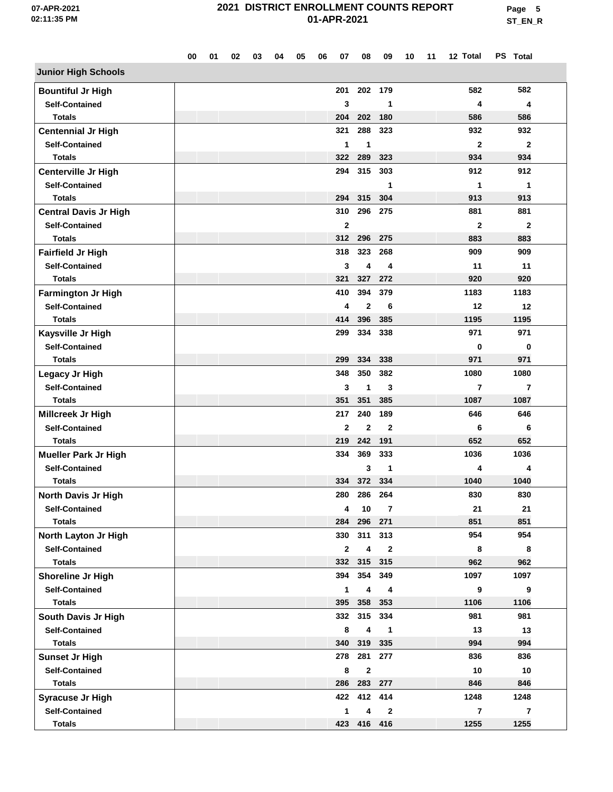**Page 5 ST\_EN\_R**

|                                              | 00 | 01 | 02 | 03 | 04 | 05 | 06 | 07           | 08             | 09                  | 10 | 11 | 12 Total       | PS Total       |  |
|----------------------------------------------|----|----|----|----|----|----|----|--------------|----------------|---------------------|----|----|----------------|----------------|--|
| <b>Junior High Schools</b>                   |    |    |    |    |    |    |    |              |                |                     |    |    |                |                |  |
| <b>Bountiful Jr High</b>                     |    |    |    |    |    |    |    | 201          | 202            | 179                 |    |    | 582            | 582            |  |
| <b>Self-Contained</b>                        |    |    |    |    |    |    |    | 3            |                | 1                   |    |    | 4              | 4              |  |
| <b>Totals</b>                                |    |    |    |    |    |    |    | 204          | 202            | 180                 |    |    | 586            | 586            |  |
| <b>Centennial Jr High</b>                    |    |    |    |    |    |    |    | 321          | 288            | 323                 |    |    | 932            | 932            |  |
| <b>Self-Contained</b>                        |    |    |    |    |    |    |    | 1            | 1              |                     |    |    | $\mathbf{2}$   | $\mathbf{2}$   |  |
| <b>Totals</b>                                |    |    |    |    |    |    |    | 322          | 289            | 323                 |    |    | 934            | 934            |  |
| Centerville Jr High                          |    |    |    |    |    |    |    | 294          | 315            | 303                 |    |    | 912            | 912            |  |
| <b>Self-Contained</b>                        |    |    |    |    |    |    |    |              |                | 1                   |    |    | 1              | 1              |  |
| <b>Totals</b>                                |    |    |    |    |    |    |    | 294          | 315            | 304                 |    |    | 913            | 913            |  |
| <b>Central Davis Jr High</b>                 |    |    |    |    |    |    |    | 310          | 296            | 275                 |    |    | 881            | 881            |  |
| <b>Self-Contained</b>                        |    |    |    |    |    |    |    | $\mathbf 2$  |                |                     |    |    | $\mathbf{2}$   | $\mathbf{2}$   |  |
| <b>Totals</b>                                |    |    |    |    |    |    |    | 312          | 296            | 275                 |    |    | 883            | 883            |  |
| Fairfield Jr High                            |    |    |    |    |    |    |    | 318          | 323            | 268                 |    |    | 909            | 909            |  |
| <b>Self-Contained</b>                        |    |    |    |    |    |    |    | 3            | 4              | 4                   |    |    | 11             | 11             |  |
| <b>Totals</b>                                |    |    |    |    |    |    |    | 321          | 327            | 272                 |    |    | 920            | 920            |  |
| <b>Farmington Jr High</b>                    |    |    |    |    |    |    |    | 410          | 394            | 379                 |    |    | 1183           | 1183           |  |
| <b>Self-Contained</b>                        |    |    |    |    |    |    |    | 4            | $\mathbf 2$    | 6                   |    |    | 12             | 12             |  |
| <b>Totals</b>                                |    |    |    |    |    |    |    | 414          | 396            | 385                 |    |    | 1195           | 1195           |  |
| Kaysville Jr High                            |    |    |    |    |    |    |    | 299          | 334            | 338                 |    |    | 971            | 971            |  |
| <b>Self-Contained</b>                        |    |    |    |    |    |    |    |              |                |                     |    |    | 0              | 0              |  |
| <b>Totals</b>                                |    |    |    |    |    |    |    | 299          | 334            | 338                 |    |    | 971            | 971            |  |
| Legacy Jr High                               |    |    |    |    |    |    |    | 348          | 350            | 382                 |    |    | 1080           | 1080           |  |
| <b>Self-Contained</b>                        |    |    |    |    |    |    |    | 3            | 1              | 3                   |    |    | $\overline{7}$ | $\overline{7}$ |  |
| <b>Totals</b>                                |    |    |    |    |    |    |    | 351          | 351            | 385                 |    |    | 1087           | 1087           |  |
| Millcreek Jr High                            |    |    |    |    |    |    |    | 217          | 240            | 189                 |    |    | 646            | 646            |  |
| <b>Self-Contained</b>                        |    |    |    |    |    |    |    | $\mathbf{2}$ | $\overline{2}$ | $\mathbf{2}$        |    |    | 6              | 6              |  |
| <b>Totals</b>                                |    |    |    |    |    |    |    | 219          | 242            | 191                 |    |    | 652            | 652            |  |
| <b>Mueller Park Jr High</b>                  |    |    |    |    |    |    |    | 334          | 369            | 333                 |    |    | 1036           | 1036           |  |
| <b>Self-Contained</b>                        |    |    |    |    |    |    |    |              | 3              | 1                   |    |    | 4              | 4              |  |
| <b>Totals</b>                                |    |    |    |    |    |    |    | 334          | 372            | 334                 |    |    | 1040           | 1040           |  |
| <b>North Davis Jr High</b>                   |    |    |    |    |    |    |    | 280          |                | 286 264             |    |    | 830            | 830            |  |
| <b>Self-Contained</b>                        |    |    |    |    |    |    |    | 4            | 10             | $\overline{7}$      |    |    | 21             | 21             |  |
| <b>Totals</b>                                |    |    |    |    |    |    |    | 284          | 296            | 271                 |    |    | 851            | 851            |  |
| North Layton Jr High                         |    |    |    |    |    |    |    |              | 330 311        | 313                 |    |    | 954            | 954            |  |
| <b>Self-Contained</b><br><b>Totals</b>       |    |    |    |    |    |    |    | $\mathbf{2}$ | 4<br>332 315   | $\mathbf{2}$<br>315 |    |    | 8<br>962       | 8<br>962       |  |
| Shoreline Jr High                            |    |    |    |    |    |    |    | 394          | 354            | 349                 |    |    | 1097           | 1097           |  |
| <b>Self-Contained</b>                        |    |    |    |    |    |    |    | 1            | 4              | 4                   |    |    | 9              | 9              |  |
| <b>Totals</b>                                |    |    |    |    |    |    |    |              | 395 358        | 353                 |    |    | 1106           | 1106           |  |
|                                              |    |    |    |    |    |    |    | 332          | 315            | 334                 |    |    | 981            | 981            |  |
| South Davis Jr High<br><b>Self-Contained</b> |    |    |    |    |    |    |    | 8            | 4              | 1                   |    |    | 13             | 13             |  |
| <b>Totals</b>                                |    |    |    |    |    |    |    | 340          | 319            | 335                 |    |    | 994            | 994            |  |
| <b>Sunset Jr High</b>                        |    |    |    |    |    |    |    | 278          | 281            | 277                 |    |    | 836            | 836            |  |
| <b>Self-Contained</b>                        |    |    |    |    |    |    |    | 8            | $\mathbf 2$    |                     |    |    | 10             | 10             |  |
| <b>Totals</b>                                |    |    |    |    |    |    |    | 286          | 283            | 277                 |    |    | 846            | 846            |  |
| <b>Syracuse Jr High</b>                      |    |    |    |    |    |    |    |              | 422 412        | 414                 |    |    | 1248           | 1248           |  |
| <b>Self-Contained</b>                        |    |    |    |    |    |    |    | 1            | 4              | 2                   |    |    | $\overline{7}$ | 7              |  |
| <b>Totals</b>                                |    |    |    |    |    |    |    |              | 423 416 416    |                     |    |    | 1255           | 1255           |  |
|                                              |    |    |    |    |    |    |    |              |                |                     |    |    |                |                |  |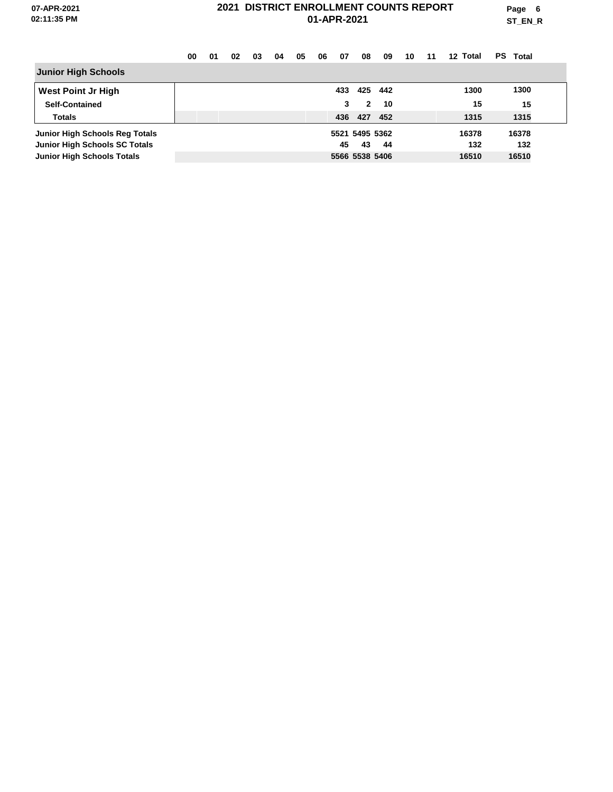**Page 6 ST\_EN\_R**

|                                      | 00 | 01 | 02 | 03 | 04 | 05 | 06 | 07  | 08             | 09  | 10 | 11 | 12 Total | PS Total |  |
|--------------------------------------|----|----|----|----|----|----|----|-----|----------------|-----|----|----|----------|----------|--|
| <b>Junior High Schools</b>           |    |    |    |    |    |    |    |     |                |     |    |    |          |          |  |
| <b>West Point Jr High</b>            |    |    |    |    |    |    |    | 433 | 425            | 442 |    |    | 1300     | 1300     |  |
| <b>Self-Contained</b>                |    |    |    |    |    |    |    | 3   | 2              | 10  |    |    | 15       | 15       |  |
| <b>Totals</b>                        |    |    |    |    |    |    |    | 436 | 427            | 452 |    |    | 1315     | 1315     |  |
| Junior High Schools Reg Totals       |    |    |    |    |    |    |    |     | 5521 5495 5362 |     |    |    | 16378    | 16378    |  |
| <b>Junior High Schools SC Totals</b> |    |    |    |    |    |    |    | 45  | 43             | 44  |    |    | 132      | 132      |  |
| <b>Junior High Schools Totals</b>    |    |    |    |    |    |    |    |     | 5566 5538 5406 |     |    |    | 16510    | 16510    |  |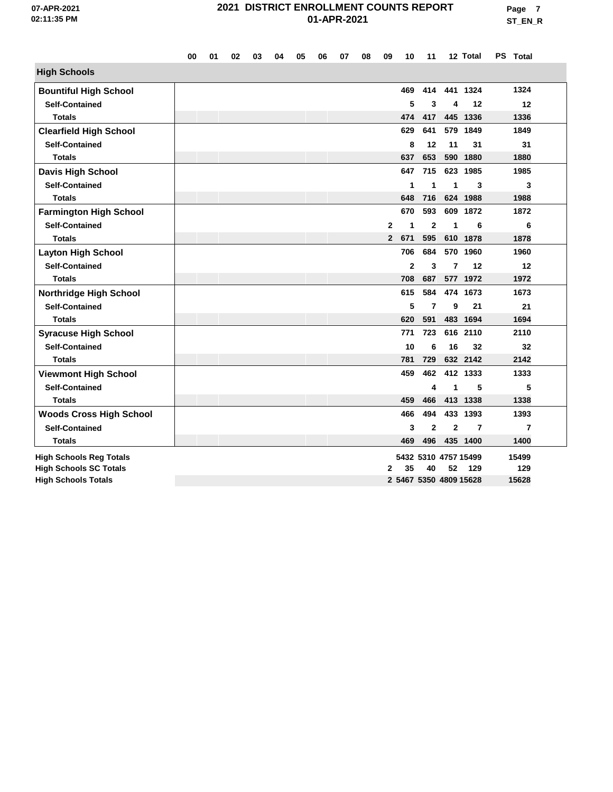|                                | 00 | 01 | 02 | 03 | 04 | 05 | 06 | 07 | 08 | 09           | 10           | 11             |                | 12 Total               | PS Total       |  |
|--------------------------------|----|----|----|----|----|----|----|----|----|--------------|--------------|----------------|----------------|------------------------|----------------|--|
| <b>High Schools</b>            |    |    |    |    |    |    |    |    |    |              |              |                |                |                        |                |  |
| <b>Bountiful High School</b>   |    |    |    |    |    |    |    |    |    |              | 469          | 414            |                | 441 1324               | 1324           |  |
| <b>Self-Contained</b>          |    |    |    |    |    |    |    |    |    |              | 5            | 3              | 4              | 12                     | 12             |  |
| <b>Totals</b>                  |    |    |    |    |    |    |    |    |    |              | 474          | 417            |                | 445 1336               | 1336           |  |
| <b>Clearfield High School</b>  |    |    |    |    |    |    |    |    |    |              | 629          | 641            |                | 579 1849               | 1849           |  |
| <b>Self-Contained</b>          |    |    |    |    |    |    |    |    |    |              | 8            | 12             | 11             | 31                     | 31             |  |
| <b>Totals</b>                  |    |    |    |    |    |    |    |    |    |              | 637          | 653            |                | 590 1880               | 1880           |  |
| Davis High School              |    |    |    |    |    |    |    |    |    |              | 647          | 715            |                | 623 1985               | 1985           |  |
| <b>Self-Contained</b>          |    |    |    |    |    |    |    |    |    |              | 1            | $\mathbf{1}$   | 1              | 3                      | 3              |  |
| <b>Totals</b>                  |    |    |    |    |    |    |    |    |    |              | 648          | 716            |                | 624 1988               | 1988           |  |
| <b>Farmington High School</b>  |    |    |    |    |    |    |    |    |    |              | 670          | 593            |                | 609 1872               | 1872           |  |
| <b>Self-Contained</b>          |    |    |    |    |    |    |    |    |    | $\mathbf{2}$ | $\mathbf{1}$ | $\mathbf{2}$   | 1              | 6                      | 6              |  |
| <b>Totals</b>                  |    |    |    |    |    |    |    |    |    | $\mathbf{2}$ | 671          | 595            |                | 610 1878               | 1878           |  |
| <b>Layton High School</b>      |    |    |    |    |    |    |    |    |    |              | 706          | 684            |                | 570 1960               | 1960           |  |
| <b>Self-Contained</b>          |    |    |    |    |    |    |    |    |    |              | $\mathbf{2}$ | 3              | 7              | 12                     | 12             |  |
| <b>Totals</b>                  |    |    |    |    |    |    |    |    |    |              | 708          | 687            |                | 577 1972               | 1972           |  |
| <b>Northridge High School</b>  |    |    |    |    |    |    |    |    |    |              | 615          | 584            |                | 474 1673               | 1673           |  |
| <b>Self-Contained</b>          |    |    |    |    |    |    |    |    |    |              | 5            | 7              | 9              | 21                     | 21             |  |
| <b>Totals</b>                  |    |    |    |    |    |    |    |    |    |              | 620          | 591            |                | 483 1694               | 1694           |  |
| <b>Syracuse High School</b>    |    |    |    |    |    |    |    |    |    |              | 771          | 723            |                | 616 2110               | 2110           |  |
| <b>Self-Contained</b>          |    |    |    |    |    |    |    |    |    |              | 10           | 6              | 16             | 32                     | 32             |  |
| <b>Totals</b>                  |    |    |    |    |    |    |    |    |    |              | 781          | 729            |                | 632 2142               | 2142           |  |
| <b>Viewmont High School</b>    |    |    |    |    |    |    |    |    |    |              | 459          | 462            |                | 412 1333               | 1333           |  |
| <b>Self-Contained</b>          |    |    |    |    |    |    |    |    |    |              |              | 4              | 1              | 5                      | 5              |  |
| <b>Totals</b>                  |    |    |    |    |    |    |    |    |    |              | 459          | 466            |                | 413 1338               | 1338           |  |
| <b>Woods Cross High School</b> |    |    |    |    |    |    |    |    |    |              | 466          | 494            |                | 433 1393               | 1393           |  |
| <b>Self-Contained</b>          |    |    |    |    |    |    |    |    |    |              | 3            | $\overline{2}$ | $\overline{2}$ | $\overline{7}$         | $\overline{7}$ |  |
| <b>Totals</b>                  |    |    |    |    |    |    |    |    |    |              | 469          | 496            |                | 435 1400               | 1400           |  |
| <b>High Schools Reg Totals</b> |    |    |    |    |    |    |    |    |    |              |              |                |                | 5432 5310 4757 15499   | 15499          |  |
| <b>High Schools SC Totals</b>  |    |    |    |    |    |    |    |    |    | $\mathbf{2}$ | 35           | 40             | 52             | 129                    | 129            |  |
| <b>High Schools Totals</b>     |    |    |    |    |    |    |    |    |    |              |              |                |                | 2 5467 5350 4809 15628 | 15628          |  |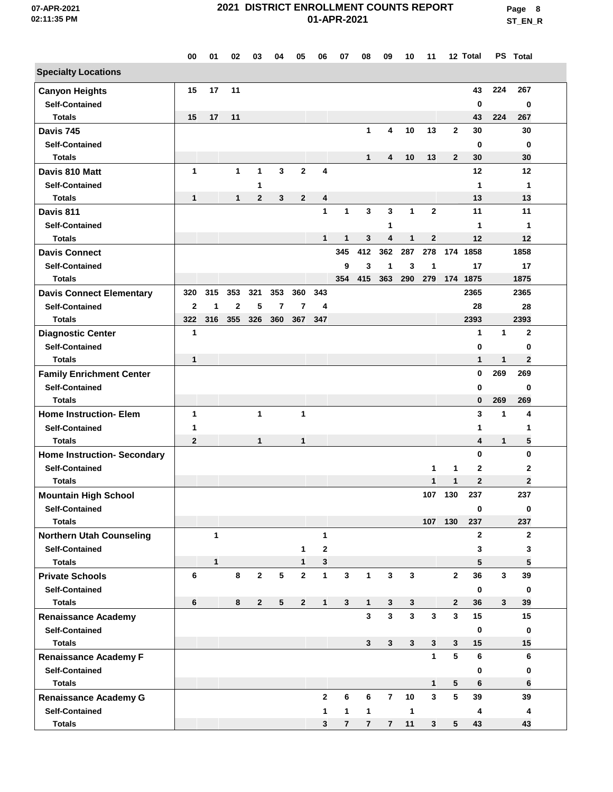**Page 8 ST\_EN\_R**

|                                    | 00           | 01           | 02             | 03             | 04  | 05             | 06           | 07             | 08             | 09             | 10           | 11           |                | 12 Total       |              | PS Total       |  |
|------------------------------------|--------------|--------------|----------------|----------------|-----|----------------|--------------|----------------|----------------|----------------|--------------|--------------|----------------|----------------|--------------|----------------|--|
| <b>Specialty Locations</b>         |              |              |                |                |     |                |              |                |                |                |              |              |                |                |              |                |  |
| <b>Canyon Heights</b>              | 15           | 17           | 11             |                |     |                |              |                |                |                |              |              |                | 43             | 224          | 267            |  |
| <b>Self-Contained</b>              |              |              |                |                |     |                |              |                |                |                |              |              |                | 0              |              | 0              |  |
| <b>Totals</b>                      | 15           | 17           | 11             |                |     |                |              |                |                |                |              |              |                | 43             | 224          | 267            |  |
| Davis 745                          |              |              |                |                |     |                |              |                | 1              | 4              | 10           | 13           | $\overline{2}$ | 30             |              | 30             |  |
| <b>Self-Contained</b>              |              |              |                |                |     |                |              |                |                |                |              |              |                | 0              |              | 0              |  |
| <b>Totals</b>                      |              |              |                |                |     |                |              |                | $\mathbf{1}$   | 4              | 10           | 13           | $\mathbf{2}$   | 30             |              | 30             |  |
| Davis 810 Matt                     | 1            |              | 1              | 1              | 3   | $\mathbf 2$    | 4            |                |                |                |              |              |                | 12             |              | 12             |  |
| <b>Self-Contained</b>              |              |              |                | 1              |     |                |              |                |                |                |              |              |                | 1              |              | $\mathbf{1}$   |  |
| <b>Totals</b>                      | 1            |              | $\mathbf 1$    | $\mathbf{2}$   | 3   | $\mathbf{2}$   | 4            |                |                |                |              |              |                | 13             |              | 13             |  |
| Davis 811                          |              |              |                |                |     |                | $\mathbf{1}$ | $\mathbf{1}$   | 3              | 3              | 1            | $\mathbf{2}$ |                | 11             |              | 11             |  |
| <b>Self-Contained</b>              |              |              |                |                |     |                |              |                |                | 1              |              |              |                | 1              |              | $\mathbf 1$    |  |
| <b>Totals</b>                      |              |              |                |                |     |                | $\mathbf{1}$ | 1              | 3              | 4              | $\mathbf{1}$ | $\mathbf{2}$ |                | 12             |              | 12             |  |
| <b>Davis Connect</b>               |              |              |                |                |     |                |              | 345            | 412            |                | 362 287      | 278          |                | 174 1858       |              | 1858           |  |
| <b>Self-Contained</b>              |              |              |                |                |     |                |              | 9              | 3              | 1              | 3            | 1            |                | 17             |              | 17             |  |
| <b>Totals</b>                      |              |              |                |                |     |                |              | 354            | 415            | 363            | 290          | 279          |                | 174 1875       |              | 1875           |  |
| <b>Davis Connect Elementary</b>    | 320          | 315          | 353            | 321            | 353 | 360            | 343          |                |                |                |              |              |                | 2365           |              | 2365           |  |
| <b>Self-Contained</b>              | $\mathbf{2}$ | 1            | $\overline{2}$ | 5              | 7   | 7              | 4            |                |                |                |              |              |                | 28             |              | 28             |  |
| <b>Totals</b>                      | 322          | 316          | 355            | 326            | 360 | 367            | 347          |                |                |                |              |              |                | 2393           |              | 2393           |  |
| <b>Diagnostic Center</b>           | 1            |              |                |                |     |                |              |                |                |                |              |              |                | 1              | 1            | $\mathbf{2}$   |  |
| <b>Self-Contained</b>              |              |              |                |                |     |                |              |                |                |                |              |              |                | 0              |              | $\bf{0}$       |  |
| <b>Totals</b>                      | 1            |              |                |                |     |                |              |                |                |                |              |              |                | 1              | 1            | $\overline{2}$ |  |
| <b>Family Enrichment Center</b>    |              |              |                |                |     |                |              |                |                |                |              |              |                | 0              | 269          | 269            |  |
| <b>Self-Contained</b>              |              |              |                |                |     |                |              |                |                |                |              |              |                | 0              |              | $\bf{0}$       |  |
| <b>Totals</b>                      |              |              |                |                |     |                |              |                |                |                |              |              |                | 0              | 269          | 269            |  |
| <b>Home Instruction- Elem</b>      | 1            |              |                | 1              |     | $\mathbf{1}$   |              |                |                |                |              |              |                | 3              | 1            | 4              |  |
| <b>Self-Contained</b>              | 1            |              |                |                |     |                |              |                |                |                |              |              |                | 1              |              | 1              |  |
| <b>Totals</b>                      | $\mathbf{2}$ |              |                | $\mathbf 1$    |     | 1              |              |                |                |                |              |              |                | 4              | 1            | 5              |  |
| <b>Home Instruction- Secondary</b> |              |              |                |                |     |                |              |                |                |                |              |              |                | $\bf{0}$       |              | $\bf{0}$       |  |
| <b>Self-Contained</b>              |              |              |                |                |     |                |              |                |                |                |              | $\mathbf 1$  | 1              | $\overline{2}$ |              | $\mathbf{2}$   |  |
| <b>Totals</b>                      |              |              |                |                |     |                |              |                |                |                |              | $\mathbf{1}$ | 1              | $\mathbf{2}$   |              | $\overline{2}$ |  |
| <b>Mountain High School</b>        |              |              |                |                |     |                |              |                |                |                |              | 107          | 130            | 237            |              | 237            |  |
| <b>Self-Contained</b>              |              |              |                |                |     |                |              |                |                |                |              |              |                | 0              |              | $\mathbf 0$    |  |
| <b>Totals</b>                      |              |              |                |                |     |                |              |                |                |                |              |              | 107 130        | 237            |              | 237            |  |
| <b>Northern Utah Counseling</b>    |              | $\mathbf{1}$ |                |                |     |                | $\mathbf{1}$ |                |                |                |              |              |                | $\mathbf{2}$   |              | $\mathbf{2}$   |  |
| <b>Self-Contained</b>              |              |              |                |                |     | 1              | $\mathbf{2}$ |                |                |                |              |              |                | 3              |              | 3              |  |
| <b>Totals</b>                      |              | $\mathbf{1}$ |                |                |     | 1              | 3            |                |                |                |              |              |                | 5              |              | 5              |  |
| <b>Private Schools</b>             | 6            |              | 8              | $\overline{2}$ | 5   | $\mathbf{2}$   | $\mathbf 1$  | $\mathbf{3}$   | $\mathbf{1}$   | $\mathbf{3}$   | 3            |              | $\overline{2}$ | 36             | 3            | 39             |  |
| <b>Self-Contained</b>              |              |              |                |                |     |                |              |                |                |                |              |              |                | 0              |              | $\bf{0}$       |  |
| <b>Totals</b>                      | 6            |              | 8              | $\overline{2}$ | 5   | $\overline{2}$ | $\mathbf{1}$ | $\mathbf{3}$   | 1              | 3              | 3            |              | $\mathbf{2}$   | 36             | $\mathbf{3}$ | 39             |  |
| <b>Renaissance Academy</b>         |              |              |                |                |     |                |              |                | 3              | $\mathbf{3}$   | $\mathbf{3}$ | $\mathbf{3}$ | $\mathbf{3}$   | 15             |              | 15             |  |
| <b>Self-Contained</b>              |              |              |                |                |     |                |              |                |                |                |              |              |                | 0              |              | $\bf{0}$       |  |
| <b>Totals</b>                      |              |              |                |                |     |                |              |                | 3              | $3\phantom{a}$ | 3            | 3            | 3              | 15             |              | 15             |  |
| <b>Renaissance Academy F</b>       |              |              |                |                |     |                |              |                |                |                |              | $\mathbf{1}$ | $\sqrt{5}$     | 6              |              | 6              |  |
| <b>Self-Contained</b>              |              |              |                |                |     |                |              |                |                |                |              |              |                | 0              |              | 0              |  |
| <b>Totals</b>                      |              |              |                |                |     |                |              |                |                |                |              | $\mathbf{1}$ | 5              | 6              |              | 6              |  |
| <b>Renaissance Academy G</b>       |              |              |                |                |     |                | $\mathbf{2}$ | 6              | 6              | $\overline{7}$ | 10           | $\mathbf{3}$ | 5              | 39             |              | 39             |  |
| <b>Self-Contained</b>              |              |              |                |                |     |                | $\mathbf{1}$ | $\mathbf{1}$   | 1              |                | $\mathbf{1}$ |              |                | 4              |              | 4              |  |
| <b>Totals</b>                      |              |              |                |                |     |                | 3            | $\overline{7}$ | $\overline{7}$ | $\overline{7}$ | 11           | 3            | 5              | 43             |              | 43             |  |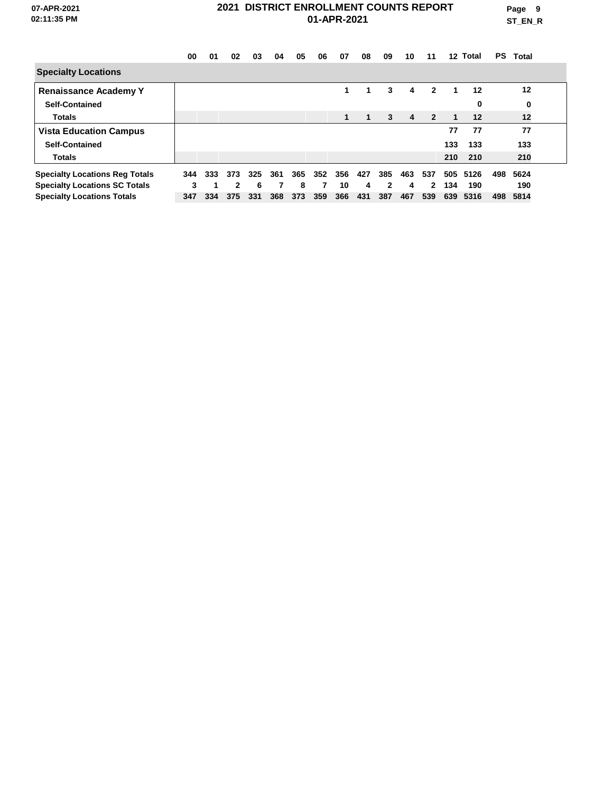**Page 9 ST\_EN\_R**

|                                       | 00  | 01  | 02           | 03  | 04  | 05  | 06  | 07  | 08  | 09           | 10  | 11             | 12 <sup>12</sup> | Total | PS. | Total |  |
|---------------------------------------|-----|-----|--------------|-----|-----|-----|-----|-----|-----|--------------|-----|----------------|------------------|-------|-----|-------|--|
| <b>Specialty Locations</b>            |     |     |              |     |     |     |     |     |     |              |     |                |                  |       |     |       |  |
| <b>Renaissance Academy Y</b>          |     |     |              |     |     |     |     | 1   |     | 3            | 4   | $\mathbf{2}$   | 1                | 12    |     | 12    |  |
| <b>Self-Contained</b>                 |     |     |              |     |     |     |     |     |     |              |     |                |                  | 0     |     | 0     |  |
| <b>Totals</b>                         |     |     |              |     |     |     |     | 1   | 1   | 3            | 4   | $\overline{2}$ | 1                | 12    |     | 12    |  |
| <b>Vista Education Campus</b>         |     |     |              |     |     |     |     |     |     |              |     |                | 77               | 77    |     | 77    |  |
| <b>Self-Contained</b>                 |     |     |              |     |     |     |     |     |     |              |     |                | 133              | 133   |     | 133   |  |
| <b>Totals</b>                         |     |     |              |     |     |     |     |     |     |              |     |                | 210              | 210   |     | 210   |  |
| <b>Specialty Locations Reg Totals</b> | 344 | 333 | 373          | 325 | 361 | 365 | 352 | 356 | 427 | 385          | 463 | 537            | 505              | 5126  | 498 | 5624  |  |
| <b>Specialty Locations SC Totals</b>  | 3   |     | $\mathbf{2}$ | 6   |     | 8   |     | 10  | 4   | $\mathbf{2}$ | 4   | 2              | 134              | 190   |     | 190   |  |
| <b>Specialty Locations Totals</b>     | 347 | 334 | 375          | 331 | 368 | 373 | 359 | 366 | 431 | 387          | 467 | 539            | 639              | 5316  | 498 | 5814  |  |